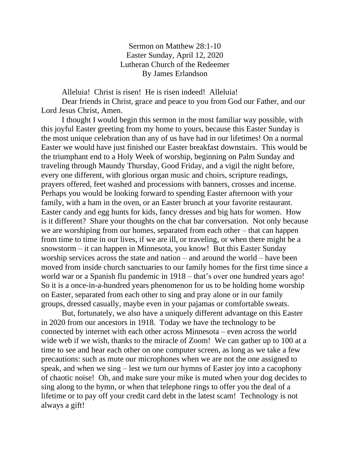Sermon on Matthew 28:1-10 Easter Sunday, April 12, 2020 Lutheran Church of the Redeemer By James Erlandson

Alleluia! Christ is risen! He is risen indeed! Alleluia!

Dear friends in Christ, grace and peace to you from God our Father, and our Lord Jesus Christ, Amen.

I thought I would begin this sermon in the most familiar way possible, with this joyful Easter greeting from my home to yours, because this Easter Sunday is the most unique celebration than any of us have had in our lifetimes! On a normal Easter we would have just finished our Easter breakfast downstairs. This would be the triumphant end to a Holy Week of worship, beginning on Palm Sunday and traveling through Maundy Thursday, Good Friday, and a vigil the night before, every one different, with glorious organ music and choirs, scripture readings, prayers offered, feet washed and processions with banners, crosses and incense. Perhaps you would be looking forward to spending Easter afternoon with your family, with a ham in the oven, or an Easter brunch at your favorite restaurant. Easter candy and egg hunts for kids, fancy dresses and big hats for women. How is it different? Share your thoughts on the chat bar conversation. Not only because we are worshiping from our homes, separated from each other – that can happen from time to time in our lives, if we are ill, or traveling, or when there might be a snowstorm – it can happen in Minnesota, you know! But this Easter Sunday worship services across the state and nation – and around the world – have been moved from inside church sanctuaries to our family homes for the first time since a world war or a Spanish flu pandemic in 1918 – that's over one hundred years ago! So it is a once-in-a-hundred years phenomenon for us to be holding home worship on Easter, separated from each other to sing and pray alone or in our family groups, dressed casually, maybe even in your pajamas or comfortable sweats.

But, fortunately, we also have a uniquely different advantage on this Easter in 2020 from our ancestors in 1918. Today we have the technology to be connected by internet with each other across Minnesota – even across the world wide web if we wish, thanks to the miracle of Zoom! We can gather up to 100 at a time to see and hear each other on one computer screen, as long as we take a few precautions: such as mute our microphones when we are not the one assigned to speak, and when we sing – lest we turn our hymns of Easter joy into a cacophony of chaotic noise! Oh, and make sure your mike is muted when your dog decides to sing along to the hymn, or when that telephone rings to offer you the deal of a lifetime or to pay off your credit card debt in the latest scam! Technology is not always a gift!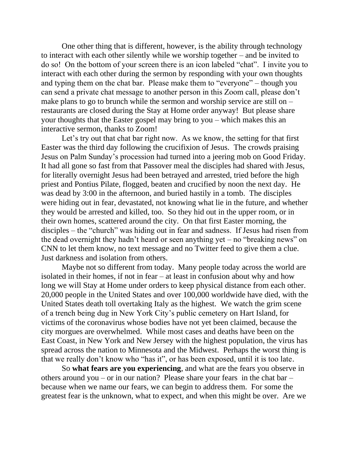One other thing that is different, however, is the ability through technology to interact with each other silently while we worship together – and be invited to do so! On the bottom of your screen there is an icon labeled "chat". I invite you to interact with each other during the sermon by responding with your own thoughts and typing them on the chat bar. Please make them to "everyone" – though you can send a private chat message to another person in this Zoom call, please don't make plans to go to brunch while the sermon and worship service are still on – restaurants are closed during the Stay at Home order anyway! But please share your thoughts that the Easter gospel may bring to you – which makes this an interactive sermon, thanks to Zoom!

Let's try out that chat bar right now. As we know, the setting for that first Easter was the third day following the crucifixion of Jesus. The crowds praising Jesus on Palm Sunday's procession had turned into a jeering mob on Good Friday. It had all gone so fast from that Passover meal the disciples had shared with Jesus, for literally overnight Jesus had been betrayed and arrested, tried before the high priest and Pontius Pilate, flogged, beaten and crucified by noon the next day. He was dead by 3:00 in the afternoon, and buried hastily in a tomb. The disciples were hiding out in fear, devastated, not knowing what lie in the future, and whether they would be arrested and killed, too. So they hid out in the upper room, or in their own homes, scattered around the city. On that first Easter morning, the disciples – the "church" was hiding out in fear and sadness. If Jesus had risen from the dead overnight they hadn't heard or seen anything yet – no "breaking news" on CNN to let them know, no text message and no Twitter feed to give them a clue. Just darkness and isolation from others.

Maybe not so different from today. Many people today across the world are isolated in their homes, if not in fear – at least in confusion about why and how long we will Stay at Home under orders to keep physical distance from each other. 20,000 people in the United States and over 100,000 worldwide have died, with the United States death toll overtaking Italy as the highest. We watch the grim scene of a trench being dug in New York City's public cemetery on Hart Island, for victims of the coronavirus whose bodies have not yet been claimed, because the city morgues are overwhelmed. While most cases and deaths have been on the East Coast, in New York and New Jersey with the highest population, the virus has spread across the nation to Minnesota and the Midwest. Perhaps the worst thing is that we really don't know who "has it", or has been exposed, until it is too late.

So **what fears are you experiencing**, and what are the fears you observe in others around you – or in our nation? Please share your fears in the chat bar – because when we name our fears, we can begin to address them. For some the greatest fear is the unknown, what to expect, and when this might be over. Are we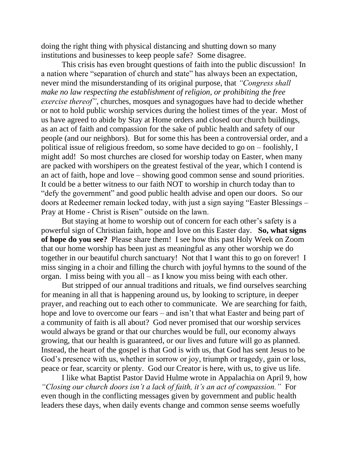doing the right thing with physical distancing and shutting down so many institutions and businesses to keep people safe? Some disagree.

This crisis has even brought questions of faith into the public discussion! In a nation where "separation of church and state" has always been an expectation, never mind the misunderstanding of its original purpose, that *"Congress shall make no law respecting the establishment of religion, or prohibiting the free exercise thereof",* churches, mosques and synagogues have had to decide whether or not to hold public worship services during the holiest times of the year. Most of us have agreed to abide by Stay at Home orders and closed our church buildings, as an act of faith and compassion for the sake of public health and safety of our people (and our neighbors). But for some this has been a controversial order, and a political issue of religious freedom, so some have decided to go on – foolishly, I might add! So most churches are closed for worship today on Easter, when many are packed with worshipers on the greatest festival of the year, which I contend is an act of faith, hope and love – showing good common sense and sound priorities. It could be a better witness to our faith NOT to worship in church today than to "defy the government" and good public health advise and open our doors. So our doors at Redeemer remain locked today, with just a sign saying "Easter Blessings – Pray at Home - Christ is Risen" outside on the lawn.

But staying at home to worship out of concern for each other's safety is a powerful sign of Christian faith, hope and love on this Easter day. **So, what signs of hope do you see?** Please share them! I see how this past Holy Week on Zoom that our home worship has been just as meaningful as any other worship we do together in our beautiful church sanctuary! Not that I want this to go on forever! I miss singing in a choir and filling the church with joyful hymns to the sound of the organ. I miss being with you all – as I know you miss being with each other.

But stripped of our annual traditions and rituals, we find ourselves searching for meaning in all that is happening around us, by looking to scripture, in deeper prayer, and reaching out to each other to communicate. We are searching for faith, hope and love to overcome our fears – and isn't that what Easter and being part of a community of faith is all about? God never promised that our worship services would always be grand or that our churches would be full, our economy always growing, that our health is guaranteed, or our lives and future will go as planned. Instead, the heart of the gospel is that God is with us, that God has sent Jesus to be God's presence with us, whether in sorrow or joy, triumph or tragedy, gain or loss, peace or fear, scarcity or plenty. God our Creator is here, with us, to give us life.

I like what Baptist Pastor David Hulme wrote in Appalachia on April 9, how *"Closing our church doors isn't a lack of faith, it's an act of compassion."* For even though in the conflicting messages given by government and public health leaders these days, when daily events change and common sense seems woefully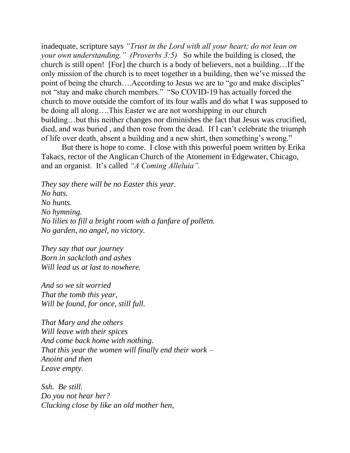inadequate, scripture says *"Trust in the Lord with all your heart; do not lean on your own understanding." (Proverbs 3:5)* So while the building is closed, the church is still open! [For] the church is a body of believers, not a building…If the only mission of the church is to meet together in a building, then we've missed the point of being the church….According to Jesus we are to "go and make disciples" not "stay and make church members." "So COVID-19 has actually forced the church to move outside the comfort of its four walls and do what I was supposed to be doing all along….This Easter we are not worshipping in our church building…but this neither changes nor diminishes the fact that Jesus was crucified, died, and was buried , and then rose from the dead. If I can't celebrate the triumph of life over death, absent a building and a new shirt, then something's wrong."

But there is hope to come. I close with this powerful poem written by Erika Takacs, rector of the Anglican Church of the Atonement in Edgewater, Chicago, and an organist. It's called *"A Coming Alleluia".*

*They say there will be no Easter this year. No hats. No hunts. No hymning. No lilies to fill a bright room with a fanfare of polletn. No garden, no angel, no victory.*

*They say that our journey Born in sackcloth and ashes Will lead us at last to nowhere.*

*And so we sit worried That the tomb this year, Will be found, for once, still full.*

*That Mary and the others Will leave with their spices And come back home with nothing. That this year the women will finally end their work – Anoint and then Leave empty.*

*Ssh. Be still. Do you not hear her? Clucking close by like an old mother hen,*